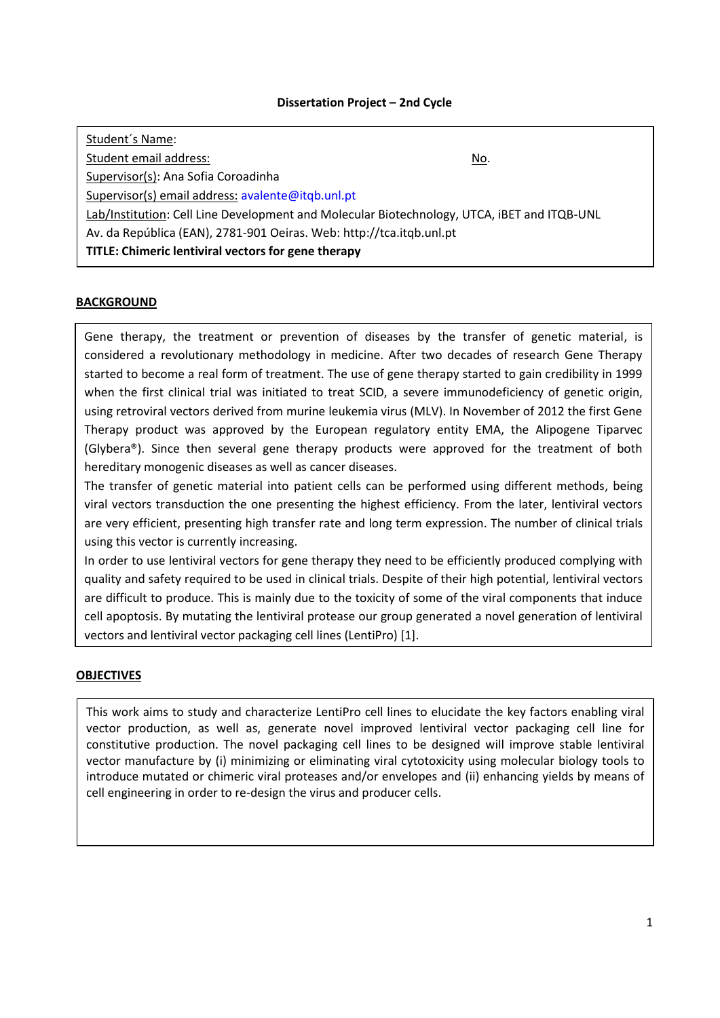## **Dissertation Project – 2nd Cycle**

| Student's Name:                                                                             |             |  |  |  |  |  |
|---------------------------------------------------------------------------------------------|-------------|--|--|--|--|--|
| Student email address:                                                                      | <u>No</u> . |  |  |  |  |  |
| Supervisor(s): Ana Sofia Coroadinha                                                         |             |  |  |  |  |  |
| Supervisor(s) email address: avalente@itqb.unl.pt                                           |             |  |  |  |  |  |
| Lab/Institution: Cell Line Development and Molecular Biotechnology, UTCA, iBET and ITQB-UNL |             |  |  |  |  |  |
| Av. da República (EAN), 2781-901 Oeiras. Web: http://tca.itqb.unl.pt                        |             |  |  |  |  |  |
| TITLE: Chimeric lentiviral vectors for gene therapy                                         |             |  |  |  |  |  |

## **BACKGROUND**

Gene therapy, the treatment or prevention of diseases by the transfer of genetic material, is considered a revolutionary methodology in medicine. After two decades of research Gene Therapy started to become a real form of treatment. The use of gene therapy started to gain credibility in 1999 when the first clinical trial was initiated to treat SCID, a severe immunodeficiency of genetic origin, using retroviral vectors derived from murine leukemia virus (MLV). In November of 2012 the first Gene Therapy product was approved by the European regulatory entity EMA, the Alipogene Tiparvec (Glybera®). Since then several gene therapy products were approved for the treatment of both hereditary monogenic diseases as well as cancer diseases.

The transfer of genetic material into patient cells can be performed using different methods, being viral vectors transduction the one presenting the highest efficiency. From the later, lentiviral vectors are very efficient, presenting high transfer rate and long term expression. The number of clinical trials using this vector is currently increasing.

In order to use lentiviral vectors for gene therapy they need to be efficiently produced complying with quality and safety required to be used in clinical trials. Despite of their high potential, lentiviral vectors are difficult to produce. This is mainly due to the toxicity of some of the viral components that induce cell apoptosis. By mutating the lentiviral protease our group generated a novel generation of lentiviral vectors and lentiviral vector packaging cell lines (LentiPro) [1].

# **OBJECTIVES**

This work aims to study and characterize LentiPro cell lines to elucidate the key factors enabling viral vector production, as well as, generate novel improved lentiviral vector packaging cell line for constitutive production. The novel packaging cell lines to be designed will improve stable lentiviral vector manufacture by (i) minimizing or eliminating viral cytotoxicity using molecular biology tools to introduce mutated or chimeric viral proteases and/or envelopes and (ii) enhancing yields by means of cell engineering in order to re-design the virus and producer cells.